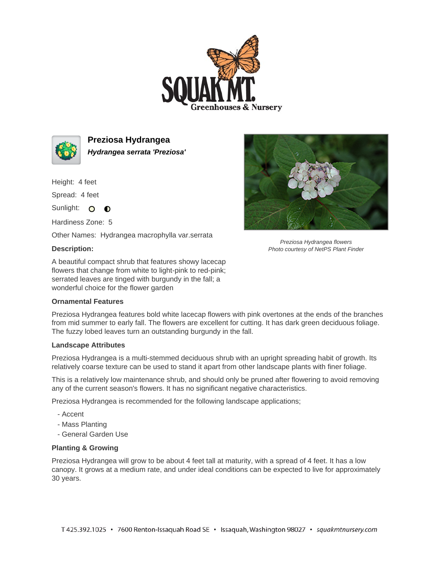



**Preziosa Hydrangea Hydrangea serrata 'Preziosa'**

Height: 4 feet

Spread: 4 feet

Sunlight: O **O** 

Hardiness Zone: 5

Other Names: Hydrangea macrophylla var.serrata

## **Description:**

A beautiful compact shrub that features showy lacecap flowers that change from white to light-pink to red-pink; serrated leaves are tinged with burgundy in the fall; a wonderful choice for the flower garden

## **Ornamental Features**



Preziosa Hydrangea flowers Photo courtesy of NetPS Plant Finder

Preziosa Hydrangea features bold white lacecap flowers with pink overtones at the ends of the branches from mid summer to early fall. The flowers are excellent for cutting. It has dark green deciduous foliage. The fuzzy lobed leaves turn an outstanding burgundy in the fall.

## **Landscape Attributes**

Preziosa Hydrangea is a multi-stemmed deciduous shrub with an upright spreading habit of growth. Its relatively coarse texture can be used to stand it apart from other landscape plants with finer foliage.

This is a relatively low maintenance shrub, and should only be pruned after flowering to avoid removing any of the current season's flowers. It has no significant negative characteristics.

Preziosa Hydrangea is recommended for the following landscape applications;

- Accent
- Mass Planting
- General Garden Use

## **Planting & Growing**

Preziosa Hydrangea will grow to be about 4 feet tall at maturity, with a spread of 4 feet. It has a low canopy. It grows at a medium rate, and under ideal conditions can be expected to live for approximately 30 years.